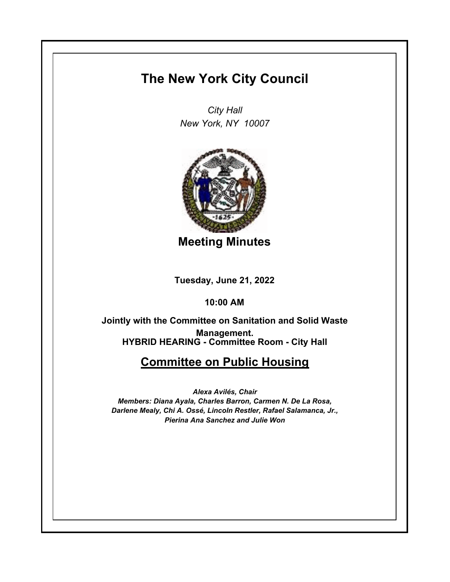## **The New York City Council**

*City Hall New York, NY 10007*



**Meeting Minutes**

**Tuesday, June 21, 2022**

**10:00 AM**

**HYBRID HEARING - Committee Room - City Hall Jointly with the Committee on Sanitation and Solid Waste Management.**

## **Committee on Public Housing**

*Alexa Avilés, Chair Members: Diana Ayala, Charles Barron, Carmen N. De La Rosa, Darlene Mealy, Chi A. Ossé, Lincoln Restler, Rafael Salamanca, Jr., Pierina Ana Sanchez and Julie Won*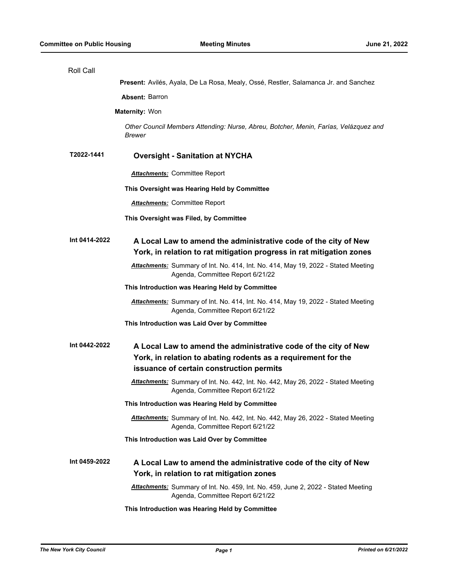| Roll Call             |                                                                                                                                                                              |
|-----------------------|------------------------------------------------------------------------------------------------------------------------------------------------------------------------------|
|                       | Present: Avilés, Ayala, De La Rosa, Mealy, Ossé, Restler, Salamanca Jr. and Sanchez                                                                                          |
|                       | <b>Absent: Barron</b>                                                                                                                                                        |
| <b>Maternity: Won</b> |                                                                                                                                                                              |
|                       | Other Council Members Attending: Nurse, Abreu, Botcher, Menin, Farías, Velázquez and<br>Brewer                                                                               |
| T2022-1441            | <b>Oversight - Sanitation at NYCHA</b>                                                                                                                                       |
|                       | <b>Attachments: Committee Report</b>                                                                                                                                         |
|                       | This Oversight was Hearing Held by Committee                                                                                                                                 |
|                       | <b>Attachments: Committee Report</b>                                                                                                                                         |
|                       | This Oversight was Filed, by Committee                                                                                                                                       |
| Int 0414-2022         | A Local Law to amend the administrative code of the city of New<br>York, in relation to rat mitigation progress in rat mitigation zones                                      |
|                       | Attachments: Summary of Int. No. 414, Int. No. 414, May 19, 2022 - Stated Meeting<br>Agenda, Committee Report 6/21/22                                                        |
|                       | This Introduction was Hearing Held by Committee                                                                                                                              |
|                       | Attachments: Summary of Int. No. 414, Int. No. 414, May 19, 2022 - Stated Meeting<br>Agenda, Committee Report 6/21/22                                                        |
|                       | This Introduction was Laid Over by Committee                                                                                                                                 |
| Int 0442-2022         | A Local Law to amend the administrative code of the city of New<br>York, in relation to abating rodents as a requirement for the<br>issuance of certain construction permits |
|                       | Attachments: Summary of Int. No. 442, Int. No. 442, May 26, 2022 - Stated Meeting<br>Agenda, Committee Report 6/21/22                                                        |
|                       | This Introduction was Hearing Held by Committee                                                                                                                              |
|                       | <b>Attachments:</b> Summary of Int. No. 442, Int. No. 442, May 26, 2022 - Stated Meeting<br>Agenda, Committee Report 6/21/22                                                 |
|                       | This Introduction was Laid Over by Committee                                                                                                                                 |
| Int 0459-2022         | A Local Law to amend the administrative code of the city of New<br>York, in relation to rat mitigation zones                                                                 |
|                       | Attachments: Summary of Int. No. 459, Int. No. 459, June 2, 2022 - Stated Meeting<br>Agenda, Committee Report 6/21/22                                                        |
|                       | This Introduction was Hearing Held by Committee                                                                                                                              |